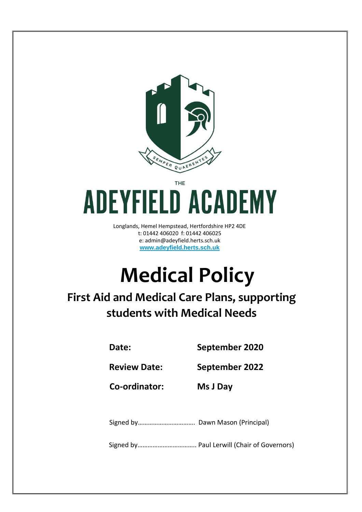

# THE **ADEYFIELD ACADEMY**

Longlands, Hemel Hempstead, Hertfordshire HP2 4DE t: 01442 406020 f: 01442 406025 e: admin@adeyfield.herts.sch.uk **www.adeyfield.herts.sch.uk**

# **Medical Policy**

**First Aid and Medical Care Plans, supporting students with Medical Needs**

**Date: September 2020**

**Review Date: September 2022**

**Co-ordinator: Ms J Day**

Signed by……………………………. Dawn Mason (Principal)

Signed by…………………………….. Paul Lerwill (Chair of Governors)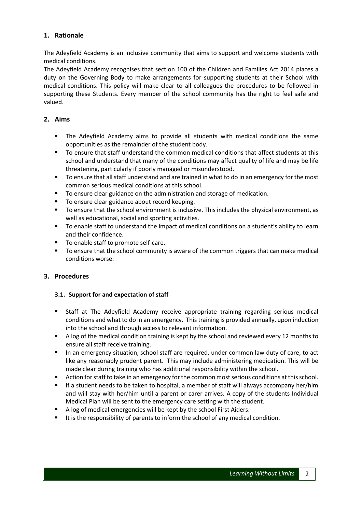# **1. Rationale**

The Adeyfield Academy is an inclusive community that aims to support and welcome students with medical conditions.

The Adeyfield Academy recognises that section 100 of the Children and Families Act 2014 places a duty on the Governing Body to make arrangements for supporting students at their School with medical conditions. This policy will make clear to all colleagues the procedures to be followed in supporting these Students. Every member of the school community has the right to feel safe and valued.

#### **2. Aims**

- The Adeyfield Academy aims to provide all students with medical conditions the same opportunities as the remainder of the student body.
- To ensure that staff understand the common medical conditions that affect students at this school and understand that many of the conditions may affect quality of life and may be life threatening, particularly if poorly managed or misunderstood.
- To ensure that all staff understand and are trained in what to do in an emergency for the most common serious medical conditions at this school.
- To ensure clear guidance on the administration and storage of medication.
- To ensure clear guidance about record keeping.
- To ensure that the school environment is inclusive. This includes the physical environment, as well as educational, social and sporting activities.
- To enable staff to understand the impact of medical conditions on a student's ability to learn and their confidence.
- To enable staff to promote self-care.
- To ensure that the school community is aware of the common triggers that can make medical conditions worse.

## **3. Procedures**

## **3.1. Support for and expectation of staff**

- Staff at The Adeyfield Academy receive appropriate training regarding serious medical conditions and what to do in an emergency. This training is provided annually, upon induction into the school and through access to relevant information.
- A log of the medical condition training is kept by the school and reviewed every 12 months to ensure all staff receive training.
- In an emergency situation, school staff are required, under common law duty of care, to act like any reasonably prudent parent. This may include administering medication. This will be made clear during training who has additional responsibility within the school.
- Action for staff to take in an emergency for the common most serious conditions at this school.
- If a student needs to be taken to hospital, a member of staff will always accompany her/him and will stay with her/him until a parent or carer arrives. A copy of the students Individual Medical Plan will be sent to the emergency care setting with the student.
- A log of medical emergencies will be kept by the school First Aiders.
- It is the responsibility of parents to inform the school of any medical condition.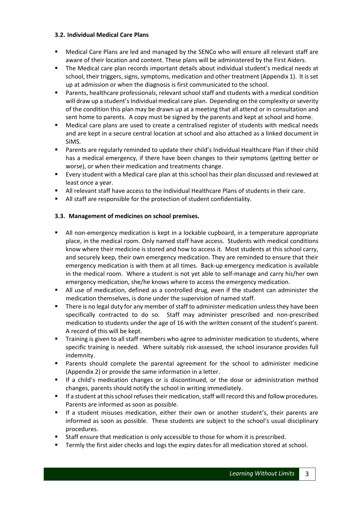#### **3.2. Individual Medical Care Plans**

- Medical Care Plans are led and managed by the SENCo who will ensure all relevant staff are aware of their location and content. These plans will be administered by the First Aiders.
- The Medical care plan records important details about individual student's medical needs at school, their triggers, signs, symptoms, medication and other treatment (Appendix 1). It is set up at admission or when the diagnosis is first communicated to the school.
- Parents, healthcare professionals, relevant school staff and students with a medical condition will draw up a student's Individual medical care plan. Depending on the complexity or severity of the condition this plan may be drawn up at a meeting that all attend or in consultation and sent home to parents. A copy must be signed by the parents and kept at school and home.
- Medical care plans are used to create a centralised register of students with medical needs and are kept in a secure central location at school and also attached as a linked document in SIMS.
- Parents are regularly reminded to update their child's Individual Healthcare Plan if their child has a medical emergency, if there have been changes to their symptoms (getting better or worse), or when their medication and treatments change.
- Every student with a Medical care plan at this school has their plan discussed and reviewed at least once a year.
- All relevant staff have access to the Individual Healthcare Plans of students in their care.
- All staff are responsible for the protection of student confidentiality.

## **3.3. Management of medicines on school premises.**

- All non-emergency medication is kept in a lockable cupboard, in a temperature appropriate place, in the medical room. Only named staff have access. Students with medical conditions know where their medicine is stored and how to access it. Most students at this school carry, and securely keep, their own emergency medication. They are reminded to ensure that their emergency medication is with them at all times. Back-up emergency medication is available in the medical room. Where a student is not yet able to self-manage and carry his/her own emergency medication, she/he knows where to access the emergency medication.
- All use of medication, defined as a controlled drug, even if the student can administer the medication themselves, is done under the supervision of named staff.
- There is no legal duty for any member of staff to administer medication unless they have been specifically contracted to do so. Staff may administer prescribed and non-prescribed medication to students under the age of 16 with the written consent of the student's parent. A record of this will be kept.
- **Training is given to all staff members who agree to administer medication to students, where** specific training is needed. Where suitably risk-assessed, the school insurance provides full indemnity.
- Parents should complete the parental agreement for the school to administer medicine (Appendix 2) or provide the same information in a letter.
- If a child's medication changes or is discontinued, or the dose or administration method changes, parents should notify the school in writing immediately.
- If a student at this school refuses their medication, staff will record this and follow procedures. Parents are informed as soon as possible.
- If a student misuses medication, either their own or another student's, their parents are informed as soon as possible. These students are subject to the school's usual disciplinary procedures.
- Staff ensure that medication is only accessible to those for whom it is prescribed.
- **Termly the first aider checks and logs the expiry dates for all medication stored at school.**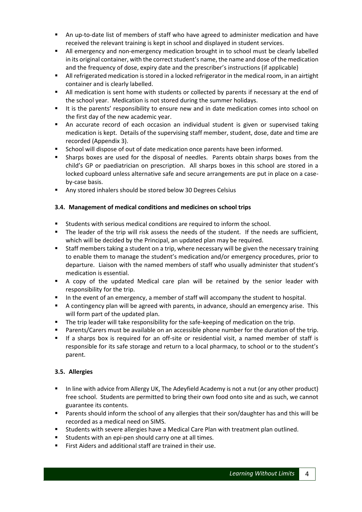- An up-to-date list of members of staff who have agreed to administer medication and have received the relevant training is kept in school and displayed in student services.
- All emergency and non-emergency medication brought in to school must be clearly labelled in its original container, with the correct student's name, the name and dose of the medication and the frequency of dose, expiry date and the prescriber's instructions (if applicable)
- **II** All refrigerated medication is stored in a locked refrigerator in the medical room, in an airtight container and is clearly labelled.
- All medication is sent home with students or collected by parents if necessary at the end of the school year. Medication is not stored during the summer holidays.
- It is the parents' responsibility to ensure new and in date medication comes into school on the first day of the new academic year.
- An accurate record of each occasion an individual student is given or supervised taking medication is kept. Details of the supervising staff member, student, dose, date and time are recorded (Appendix 3).
- School will dispose of out of date medication once parents have been informed.
- Sharps boxes are used for the disposal of needles. Parents obtain sharps boxes from the child's GP or paediatrician on prescription. All sharps boxes in this school are stored in a locked cupboard unless alternative safe and secure arrangements are put in place on a caseby-case basis.
- Any stored inhalers should be stored below 30 Degrees Celsius

# **3.4. Management of medical conditions and medicines on school trips**

- Students with serious medical conditions are required to inform the school.
- The leader of the trip will risk assess the needs of the student. If the needs are sufficient, which will be decided by the Principal, an updated plan may be required.
- Staff members taking a student on a trip, where necessary will be given the necessary training to enable them to manage the student's medication and/or emergency procedures, prior to departure. Liaison with the named members of staff who usually administer that student's medication is essential.
- A copy of the updated Medical care plan will be retained by the senior leader with responsibility for the trip.
- In the event of an emergency, a member of staff will accompany the student to hospital.
- A contingency plan will be agreed with parents, in advance, should an emergency arise. This will form part of the updated plan.
- **The trip leader will take responsibility for the safe-keeping of medication on the trip.**
- Parents/Carers must be available on an accessible phone number for the duration of the trip.
- If a sharps box is required for an off-site or residential visit, a named member of staff is responsible for its safe storage and return to a local pharmacy, to school or to the student's parent.

## **3.5. Allergies**

- In line with advice from Allergy UK, The Adeyfield Academy is not a nut (or any other product) free school. Students are permitted to bring their own food onto site and as such, we cannot guarantee its contents.
- **Parents should inform the school of any allergies that their son/daughter has and this will be** recorded as a medical need on SIMS.
- Students with severe allergies have a Medical Care Plan with treatment plan outlined.
- **Students with an epi-pen should carry one at all times.**
- First Aiders and additional staff are trained in their use.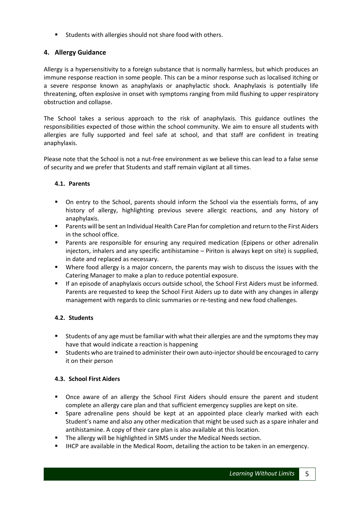Students with allergies should not share food with others.

# **4. Allergy Guidance**

Allergy is a hypersensitivity to a foreign substance that is normally harmless, but which produces an immune response reaction in some people. This can be a minor response such as localised itching or a severe response known as anaphylaxis or anaphylactic shock. Anaphylaxis is potentially life threatening, often explosive in onset with symptoms ranging from mild flushing to upper respiratory obstruction and collapse.

The School takes a serious approach to the risk of anaphylaxis. This guidance outlines the responsibilities expected of those within the school community. We aim to ensure all students with allergies are fully supported and feel safe at school, and that staff are confident in treating anaphylaxis.

Please note that the School is not a nut-free environment as we believe this can lead to a false sense of security and we prefer that Students and staff remain vigilant at all times.

# **4.1. Parents**

- On entry to the School, parents should inform the School via the essentials forms, of any history of allergy, highlighting previous severe allergic reactions, and any history of anaphylaxis.
- Parents will be sent an Individual Health Care Plan for completion and return to the First Aiders in the school office.
- Parents are responsible for ensuring any required medication (Epipens or other adrenalin injectors, inhalers and any specific antihistamine – Piriton is always kept on site) is supplied, in date and replaced as necessary.
- Where food allergy is a major concern, the parents may wish to discuss the issues with the Catering Manager to make a plan to reduce potential exposure.
- If an episode of anaphylaxis occurs outside school, the School First Aiders must be informed. Parents are requested to keep the School First Aiders up to date with any changes in allergy management with regards to clinic summaries or re-testing and new food challenges.

# **4.2. Students**

- Students of any age must be familiar with what their allergies are and the symptoms they may have that would indicate a reaction is happening
- Students who are trained to administer their own auto-injector should be encouraged to carry it on their person

# **4.3. School First Aiders**

- Once aware of an allergy the School First Aiders should ensure the parent and student complete an allergy care plan and that sufficient emergency supplies are kept on site.
- Spare adrenaline pens should be kept at an appointed place clearly marked with each Student's name and also any other medication that might be used such as a spare inhaler and antihistamine. A copy of their care plan is also available at this location.
- **The allergy will be highlighted in SIMS under the Medical Needs section.**
- **IHCP** are available in the Medical Room, detailing the action to be taken in an emergency.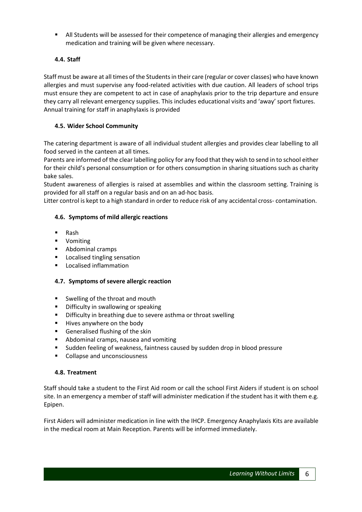All Students will be assessed for their competence of managing their allergies and emergency medication and training will be given where necessary.

# **4.4. Staff**

Staff must be aware at all times of the Students in their care (regular or cover classes) who have known allergies and must supervise any food-related activities with due caution. All leaders of school trips must ensure they are competent to act in case of anaphylaxis prior to the trip departure and ensure they carry all relevant emergency supplies. This includes educational visits and 'away' sport fixtures. Annual training for staff in anaphylaxis is provided

## **4.5. Wider School Community**

The catering department is aware of all individual student allergies and provides clear labelling to all food served in the canteen at all times.

Parents are informed of the clear labelling policy for any food that they wish to send in to school either for their child's personal consumption or for others consumption in sharing situations such as charity bake sales.

Student awareness of allergies is raised at assemblies and within the classroom setting. Training is provided for all staff on a regular basis and on an ad-hoc basis.

Litter control is kept to a high standard in order to reduce risk of any accidental cross- contamination.

#### **4.6. Symptoms of mild allergic reactions**

- Rash
- **•** Vomiting
- **Abdominal cramps**
- **Localised tingling sensation**
- **Localised inflammation**

#### **4.7. Symptoms of severe allergic reaction**

- Swelling of the throat and mouth
- **•** Difficulty in swallowing or speaking
- **•** Difficulty in breathing due to severe asthma or throat swelling
- **Hives anywhere on the body**
- **Generalised flushing of the skin**
- Abdominal cramps, nausea and vomiting
- Sudden feeling of weakness, faintness caused by sudden drop in blood pressure
- **Collapse and unconsciousness**

#### **4.8. Treatment**

Staff should take a student to the First Aid room or call the school First Aiders if student is on school site. In an emergency a member of staff will administer medication if the student has it with them e.g. Epipen.

First Aiders will administer medication in line with the IHCP. Emergency Anaphylaxis Kits are available in the medical room at Main Reception. Parents will be informed immediately.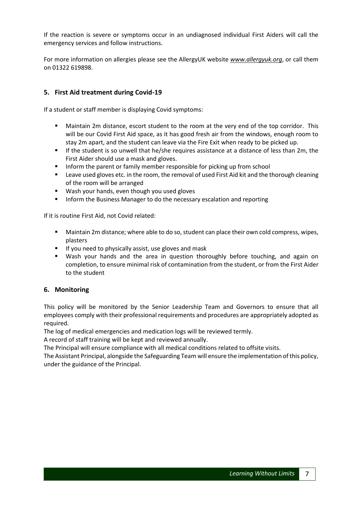If the reaction is severe or symptoms occur in an undiagnosed individual First Aiders will call the emergency services and follow instructions.

For more information on allergies please see the AllergyUK website *www.allergyuk.org*, or call them on 01322 619898.

# **5. First Aid treatment during Covid-19**

If a student or staff member is displaying Covid symptoms:

- Maintain 2m distance, escort student to the room at the very end of the top corridor. This will be our Covid First Aid space, as it has good fresh air from the windows, enough room to stay 2m apart, and the student can leave via the Fire Exit when ready to be picked up.
- If the student is so unwell that he/she requires assistance at a distance of less than 2m, the First Aider should use a mask and gloves.
- **Inform the parent or family member responsible for picking up from school**
- **EXECT** Leave used gloves etc. in the room, the removal of used First Aid kit and the thorough cleaning of the room will be arranged
- **Wash your hands, even though you used gloves**
- **Inform the Business Manager to do the necessary escalation and reporting**

If it is routine First Aid, not Covid related:

- Maintain 2m distance; where able to do so, student can place their own cold compress, wipes, plasters
- **If you need to physically assist, use gloves and mask**
- Wash your hands and the area in question thoroughly before touching, and again on completion, to ensure minimal risk of contamination from the student, or from the First Aider to the student

## **6. Monitoring**

This policy will be monitored by the Senior Leadership Team and Governors to ensure that all employees comply with their professional requirements and procedures are appropriately adopted as required.

The log of medical emergencies and medication logs will be reviewed termly.

A record of staff training will be kept and reviewed annually.

The Principal will ensure compliance with all medical conditions related to offsite visits.

The Assistant Principal, alongside the Safeguarding Team will ensure the implementation of this policy, under the guidance of the Principal.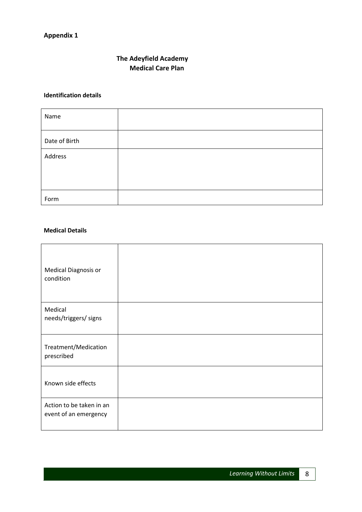# **The Adeyfield Academy Medical Care Plan**

#### **Identification details**

| Name          |  |
|---------------|--|
| Date of Birth |  |
| Address       |  |
|               |  |
| Form          |  |

# **Medical Details**

| Medical Diagnosis or<br>condition                 |  |
|---------------------------------------------------|--|
| Medical<br>needs/triggers/ signs                  |  |
| Treatment/Medication<br>prescribed                |  |
| Known side effects                                |  |
| Action to be taken in an<br>event of an emergency |  |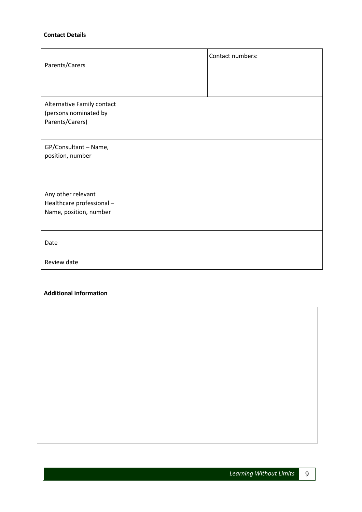#### **Contact Details**

| Parents/Carers                                                           | Contact numbers: |
|--------------------------------------------------------------------------|------------------|
| Alternative Family contact<br>(persons nominated by<br>Parents/Carers)   |                  |
| GP/Consultant - Name,<br>position, number                                |                  |
| Any other relevant<br>Healthcare professional-<br>Name, position, number |                  |
| Date                                                                     |                  |
| Review date                                                              |                  |

## **Additional information**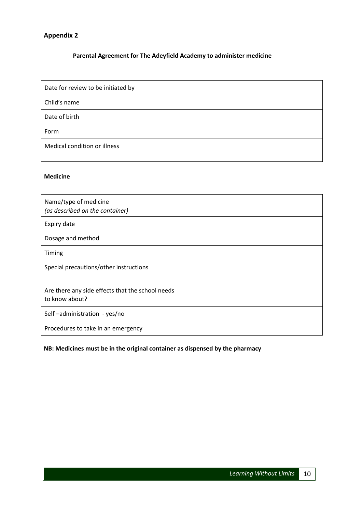# **Parental Agreement for The Adeyfield Academy to administer medicine**

| Date for review to be initiated by |  |
|------------------------------------|--|
| Child's name                       |  |
| Date of birth                      |  |
| Form                               |  |
| Medical condition or illness       |  |

#### **Medicine**

| Name/type of medicine<br>(as described on the container)           |  |
|--------------------------------------------------------------------|--|
| Expiry date                                                        |  |
| Dosage and method                                                  |  |
| Timing                                                             |  |
| Special precautions/other instructions                             |  |
| Are there any side effects that the school needs<br>to know about? |  |
| Self-administration - yes/no                                       |  |
| Procedures to take in an emergency                                 |  |

# **NB: Medicines must be in the original container as dispensed by the pharmacy**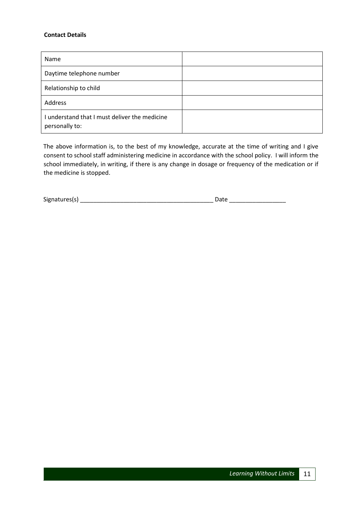#### **Contact Details**

| Name                                                            |  |
|-----------------------------------------------------------------|--|
| Daytime telephone number                                        |  |
| Relationship to child                                           |  |
| Address                                                         |  |
| I understand that I must deliver the medicine<br>personally to: |  |

The above information is, to the best of my knowledge, accurate at the time of writing and I give consent to school staff administering medicine in accordance with the school policy. I will inform the school immediately, in writing, if there is any change in dosage or frequency of the medication or if the medicine is stopped.

Signatures(s) \_\_\_\_\_\_\_\_\_\_\_\_\_\_\_\_\_\_\_\_\_\_\_\_\_\_\_\_\_\_\_\_\_\_\_\_\_\_\_\_ Date \_\_\_\_\_\_\_\_\_\_\_\_\_\_\_\_\_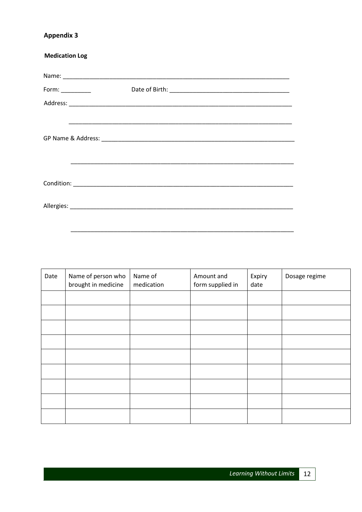| <b>Medication Log</b> |  |
|-----------------------|--|
|                       |  |
|                       |  |
|                       |  |
|                       |  |
|                       |  |
|                       |  |
|                       |  |

| Date | Name of person who<br>brought in medicine | Name of<br>medication | Amount and<br>form supplied in | Expiry<br>date | Dosage regime |
|------|-------------------------------------------|-----------------------|--------------------------------|----------------|---------------|
|      |                                           |                       |                                |                |               |
|      |                                           |                       |                                |                |               |
|      |                                           |                       |                                |                |               |
|      |                                           |                       |                                |                |               |
|      |                                           |                       |                                |                |               |
|      |                                           |                       |                                |                |               |
|      |                                           |                       |                                |                |               |
|      |                                           |                       |                                |                |               |
|      |                                           |                       |                                |                |               |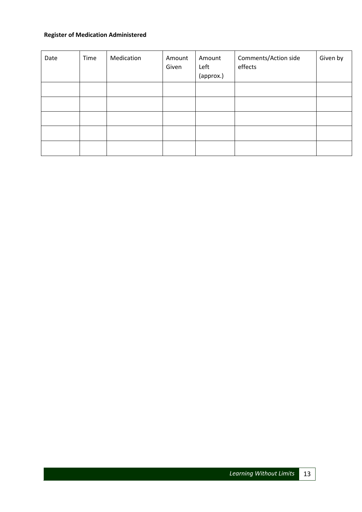# **Register of Medication Administered**

| Date | Time | Medication | Amount<br>Given | Amount<br>Left<br>(approx.) | Comments/Action side<br>effects | Given by |
|------|------|------------|-----------------|-----------------------------|---------------------------------|----------|
|      |      |            |                 |                             |                                 |          |
|      |      |            |                 |                             |                                 |          |
|      |      |            |                 |                             |                                 |          |
|      |      |            |                 |                             |                                 |          |
|      |      |            |                 |                             |                                 |          |